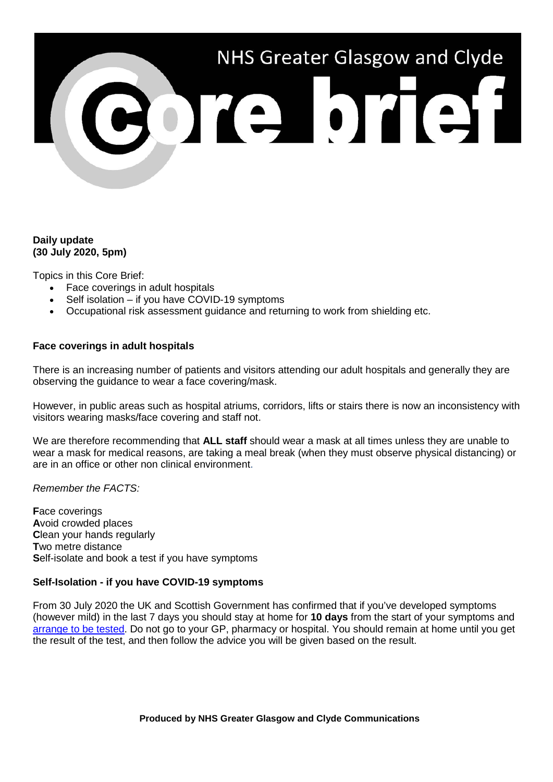

# **Daily update (30 July 2020, 5pm)**

Topics in this Core Brief:

- Face coverings in adult hospitals
- Self isolation if you have COVID-19 symptoms
- Occupational risk assessment guidance and returning to work from shielding etc.

#### **Face coverings in adult hospitals**

There is an increasing number of patients and visitors attending our adult hospitals and generally they are observing the guidance to wear a face covering/mask.

However, in public areas such as hospital atriums, corridors, lifts or stairs there is now an inconsistency with visitors wearing masks/face covering and staff not.

We are therefore recommending that **ALL staff** should wear a mask at all times unless they are unable to wear a mask for medical reasons, are taking a meal break (when they must observe physical distancing) or are in an office or other non clinical environment.

*Remember the FACTS:*

**F**ace coverings **A**void crowded places **C**lean your hands regularly **T**wo metre distance **S**elf-isolate and book a test if you have symptoms

#### **Self-Isolation - if you have COVID-19 symptoms**

From 30 July 2020 the UK and Scottish Government has confirmed that if you've developed symptoms (however mild) in the last 7 days you should stay at home for **10 days** from the start of your symptoms and [arrange to be tested.](https://www.nhsinform.scot/illnesses-and-conditions/infections-and-poisoning/coronavirus-covid-19/test-and-protect/coronavirus-covid-19-testing/) Do not go to your GP, pharmacy or hospital. You should remain at home until you get the result of the test, and then follow the advice you will be given based on the result.